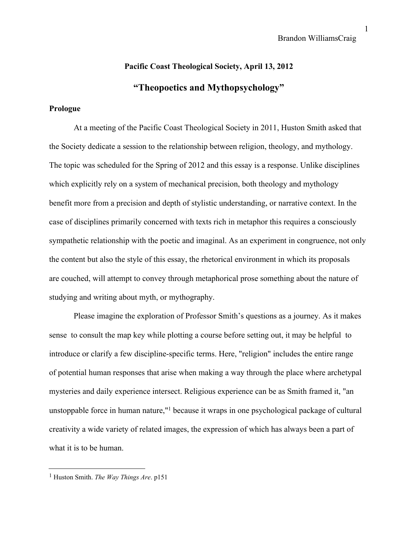# **Pacific Coast Theological Society, April 13, 2012 "Theopoetics and Mythopsychology"**

# **Prologue**

At a meeting of the Pacific Coast Theological Society in 2011, Huston Smith asked that the Society dedicate a session to the relationship between religion, theology, and mythology. The topic was scheduled for the Spring of 2012 and this essay is a response. Unlike disciplines which explicitly rely on a system of mechanical precision, both theology and mythology benefit more from a precision and depth of stylistic understanding, or narrative context. In the case of disciplines primarily concerned with texts rich in metaphor this requires a consciously sympathetic relationship with the poetic and imaginal. As an experiment in congruence, not only the content but also the style of this essay, the rhetorical environment in which its proposals are couched, will attempt to convey through metaphorical prose something about the nature of studying and writing about myth, or mythography.

Please imagine the exploration of Professor Smith's questions as a journey. As it makes sense to consult the map key while plotting a course before setting out, it may be helpful to introduce or clarify a few discipline-specific terms. Here, "religion" includes the entire range of potential human responses that arise when making a way through the place where archetypal mysteries and daily experience intersect. Religious experience can be as Smith framed it, "an unstoppable force in human nature," <sup>1</sup> because it wraps in one psychological package of cultural creativity a wide variety of related images, the expression of which has always been a part of what it is to be human.

<sup>1</sup> Huston Smith. *The Way Things Are*. p151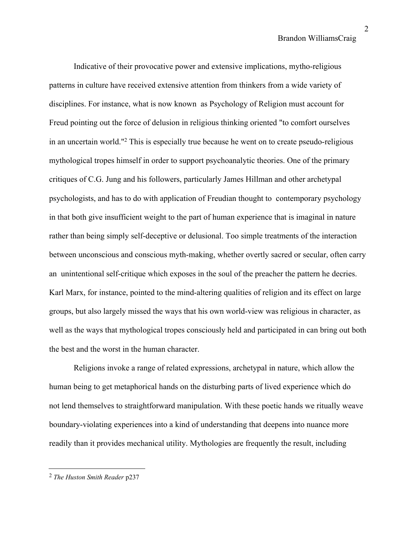Indicative of their provocative power and extensive implications, mytho-religious patterns in culture have received extensive attention from thinkers from a wide variety of disciplines. For instance, what is now known as Psychology of Religion must account for Freud pointing out the force of delusion in religious thinking oriented "to comfort ourselves in an uncertain world." <sup>2</sup> This is especially true because he went on to create pseudo-religious mythological tropes himself in order to support psychoanalytic theories. One of the primary critiques of C.G. Jung and his followers, particularly James Hillman and other archetypal psychologists, and has to do with application of Freudian thought to contemporary psychology in that both give insufficient weight to the part of human experience that is imaginal in nature rather than being simply self-deceptive or delusional. Too simple treatments of the interaction between unconscious and conscious myth-making, whether overtly sacred or secular, often carry an unintentional self-critique which exposes in the soul of the preacher the pattern he decries. Karl Marx, for instance, pointed to the mind-altering qualities of religion and its effect on large groups, but also largely missed the ways that his own world-view was religious in character, as well as the ways that mythological tropes consciously held and participated in can bring out both the best and the worst in the human character.

Religions invoke a range of related expressions, archetypal in nature, which allow the human being to get metaphorical hands on the disturbing parts of lived experience which do not lend themselves to straightforward manipulation. With these poetic hands we ritually weave boundary-violating experiences into a kind of understanding that deepens into nuance more readily than it provides mechanical utility. Mythologies are frequently the result, including

<sup>2</sup> *The Huston Smith Reader* p237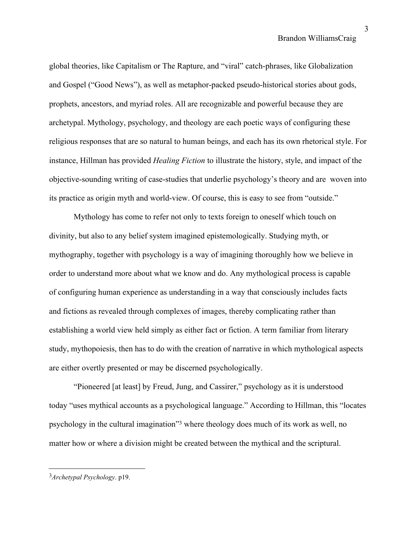global theories, like Capitalism or The Rapture, and "viral" catch-phrases, like Globalization and Gospel ("Good News"), as well as metaphor-packed pseudo-historical stories about gods, prophets, ancestors, and myriad roles. All are recognizable and powerful because they are archetypal. Mythology, psychology, and theology are each poetic ways of configuring these religious responses that are so natural to human beings, and each has its own rhetorical style. For instance, Hillman has provided *Healing Fiction* to illustrate the history, style, and impact of the objective-sounding writing of case-studies that underlie psychology's theory and are woven into its practice as origin myth and world-view. Of course, this is easy to see from "outside."

Mythology has come to refer not only to texts foreign to oneself which touch on divinity, but also to any belief system imagined epistemologically. Studying myth, or mythography, together with psychology is a way of imagining thoroughly how we believe in order to understand more about what we know and do. Any mythological process is capable of configuring human experience as understanding in a way that consciously includes facts and fictions as revealed through complexes of images, thereby complicating rather than establishing a world view held simply as either fact or fiction. A term familiar from literary study, mythopoiesis, then has to do with the creation of narrative in which mythological aspects are either overtly presented or may be discerned psychologically.

"Pioneered [at least] by Freud, Jung, and Cassirer," psychology as it is understood today "uses mythical accounts as a psychological language." According to Hillman, this "locates psychology in the cultural imagination<sup>33</sup> where theology does much of its work as well, no matter how or where a division might be created between the mythical and the scriptural.

<sup>3</sup>*Archetypal Psychology*. p19.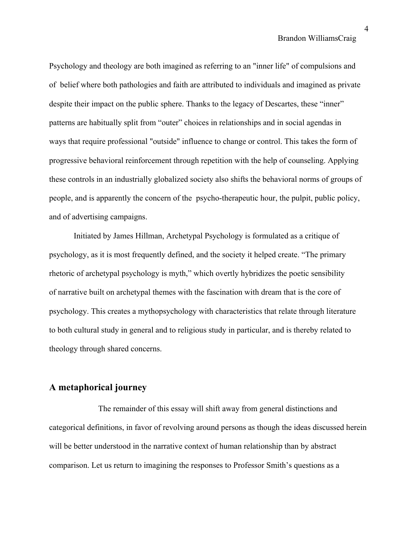Psychology and theology are both imagined as referring to an "inner life" of compulsions and of belief where both pathologies and faith are attributed to individuals and imagined as private despite their impact on the public sphere. Thanks to the legacy of Descartes, these "inner" patterns are habitually split from "outer" choices in relationships and in social agendas in ways that require professional "outside" influence to change or control. This takes the form of progressive behavioral reinforcement through repetition with the help of counseling. Applying these controls in an industrially globalized society also shifts the behavioral norms of groups of people, and is apparently the concern of the psycho-therapeutic hour, the pulpit, public policy, and of advertising campaigns.

Initiated by James Hillman, Archetypal Psychology is formulated as a critique of psychology, as it is most frequently defined, and the society it helped create. "The primary rhetoric of archetypal psychology is myth," which overtly hybridizes the poetic sensibility of narrative built on archetypal themes with the fascination with dream that is the core of psychology. This creates a mythopsychology with characteristics that relate through literature to both cultural study in general and to religious study in particular, and is thereby related to theology through shared concerns.

# **A metaphorical journey**

The remainder of this essay will shift away from general distinctions and categorical definitions, in favor of revolving around persons as though the ideas discussed herein will be better understood in the narrative context of human relationship than by abstract comparison. Let us return to imagining the responses to Professor Smith's questions as a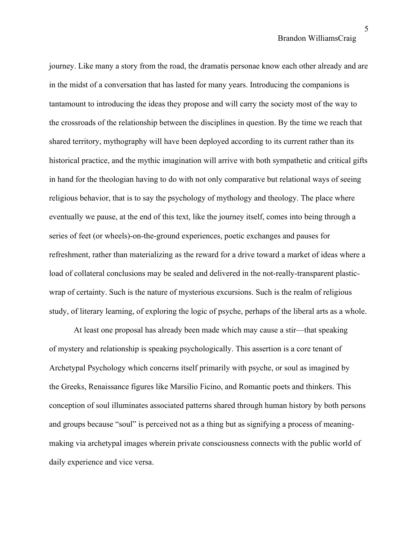journey. Like many a story from the road, the dramatis personae know each other already and are in the midst of a conversation that has lasted for many years. Introducing the companions is tantamount to introducing the ideas they propose and will carry the society most of the way to the crossroads of the relationship between the disciplines in question. By the time we reach that shared territory, mythography will have been deployed according to its current rather than its historical practice, and the mythic imagination will arrive with both sympathetic and critical gifts in hand for the theologian having to do with not only comparative but relational ways of seeing religious behavior, that is to say the psychology of mythology and theology. The place where eventually we pause, at the end of this text, like the journey itself, comes into being through a series of feet (or wheels)-on-the-ground experiences, poetic exchanges and pauses for refreshment, rather than materializing as the reward for a drive toward a market of ideas where a load of collateral conclusions may be sealed and delivered in the not-really-transparent plasticwrap of certainty. Such is the nature of mysterious excursions. Such is the realm of religious study, of literary learning, of exploring the logic of psyche, perhaps of the liberal arts as a whole.

At least one proposal has already been made which may cause a stir—that speaking of mystery and relationship is speaking psychologically. This assertion is a core tenant of Archetypal Psychology which concerns itself primarily with psyche, or soul as imagined by the Greeks, Renaissance figures like Marsilio Ficino, and Romantic poets and thinkers. This conception of soul illuminates associated patterns shared through human history by both persons and groups because "soul" is perceived not as a thing but as signifying a process of meaningmaking via archetypal images wherein private consciousness connects with the public world of daily experience and vice versa.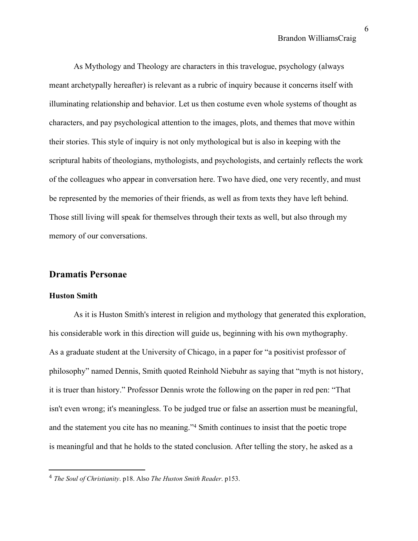As Mythology and Theology are characters in this travelogue, psychology (always meant archetypally hereafter) is relevant as a rubric of inquiry because it concerns itself with illuminating relationship and behavior. Let us then costume even whole systems of thought as characters, and pay psychological attention to the images, plots, and themes that move within their stories. This style of inquiry is not only mythological but is also in keeping with the scriptural habits of theologians, mythologists, and psychologists, and certainly reflects the work of the colleagues who appear in conversation here. Two have died, one very recently, and must be represented by the memories of their friends, as well as from texts they have left behind. Those still living will speak for themselves through their texts as well, but also through my memory of our conversations.

# **Dramatis Personae**

#### **Huston Smith**

As it is Huston Smith's interest in religion and mythology that generated this exploration, his considerable work in this direction will guide us, beginning with his own mythography. As a graduate student at the University of Chicago, in a paper for "a positivist professor of philosophy" named Dennis, Smith quoted Reinhold Niebuhr as saying that "myth is not history, it is truer than history." Professor Dennis wrote the following on the paper in red pen: "That isn't even wrong; it's meaningless. To be judged true or false an assertion must be meaningful, and the statement you cite has no meaning." <sup>4</sup> Smith continues to insist that the poetic trope is meaningful and that he holds to the stated conclusion. After telling the story, he asked as a

<sup>4</sup> *The Soul of Christianity*. p18. Also *The Huston Smith Reader*. p153.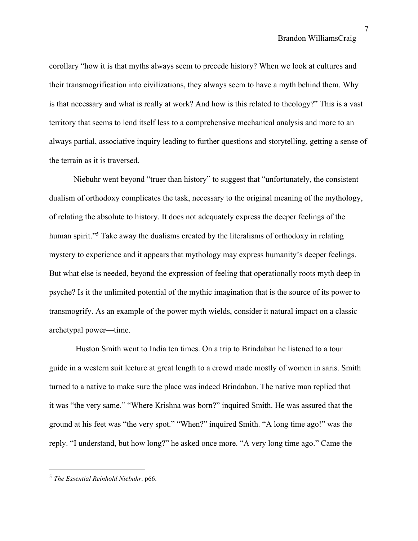corollary "how it is that myths always seem to precede history? When we look at cultures and their transmogrification into civilizations, they always seem to have a myth behind them. Why is that necessary and what is really at work? And how is this related to theology?" This is a vast territory that seems to lend itself less to a comprehensive mechanical analysis and more to an always partial, associative inquiry leading to further questions and storytelling, getting a sense of the terrain as it is traversed.

Niebuhr went beyond "truer than history" to suggest that "unfortunately, the consistent dualism of orthodoxy complicates the task, necessary to the original meaning of the mythology, of relating the absolute to history. It does not adequately express the deeper feelings of the human spirit."<sup>5</sup> Take away the dualisms created by the literalisms of orthodoxy in relating mystery to experience and it appears that mythology may express humanity's deeper feelings. But what else is needed, beyond the expression of feeling that operationally roots myth deep in psyche? Is it the unlimited potential of the mythic imagination that is the source of its power to transmogrify. As an example of the power myth wields, consider it natural impact on a classic archetypal power—time.

Huston Smith went to India ten times. On a trip to Brindaban he listened to a tour guide in a western suit lecture at great length to a crowd made mostly of women in saris. Smith turned to a native to make sure the place was indeed Brindaban. The native man replied that it was "the very same." "Where Krishna was born?" inquired Smith. He was assured that the ground at his feet was "the very spot." "When?" inquired Smith. "A long time ago!" was the reply. "I understand, but how long?" he asked once more. "A very long time ago." Came the

<sup>5</sup> *The Essential Reinhold Niebuhr*. p66.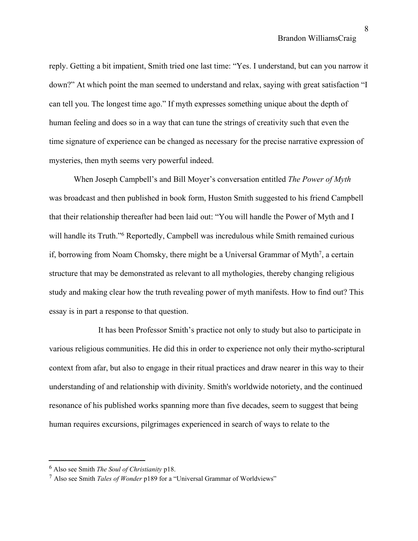reply. Getting a bit impatient, Smith tried one last time: "Yes. I understand, but can you narrow it down?" At which point the man seemed to understand and relax, saying with great satisfaction "I can tell you. The longest time ago." If myth expresses something unique about the depth of human feeling and does so in a way that can tune the strings of creativity such that even the time signature of experience can be changed as necessary for the precise narrative expression of mysteries, then myth seems very powerful indeed.

When Joseph Campbell's and Bill Moyer's conversation entitled *The Power of Myth* was broadcast and then published in book form, Huston Smith suggested to his friend Campbell that their relationship thereafter had been laid out: "You will handle the Power of Myth and I will handle its Truth." <sup>6</sup> Reportedly, Campbell was incredulous while Smith remained curious if, borrowing from Noam Chomsky, there might be a Universal Grammar of Myth<sup>7</sup>, a certain structure that may be demonstrated as relevant to all mythologies, thereby changing religious study and making clear how the truth revealing power of myth manifests. How to find out? This essay is in part a response to that question.

It has been Professor Smith's practice not only to study but also to participate in various religious communities. He did this in order to experience not only their mytho-scriptural context from afar, but also to engage in their ritual practices and draw nearer in this way to their understanding of and relationship with divinity. Smith's worldwide notoriety, and the continued resonance of his published works spanning more than five decades, seem to suggest that being human requires excursions, pilgrimages experienced in search of ways to relate to the

<sup>6</sup> Also see Smith *The Soul of Christianity* p18.

<sup>7</sup> Also see Smith *Tales of Wonder* p189 for a "Universal Grammar of Worldviews"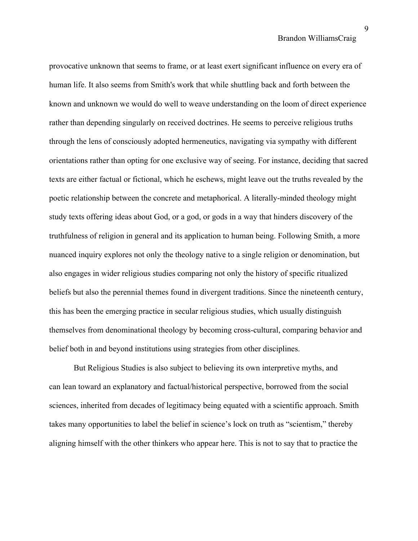provocative unknown that seems to frame, or at least exert significant influence on every era of human life. It also seems from Smith's work that while shuttling back and forth between the known and unknown we would do well to weave understanding on the loom of direct experience rather than depending singularly on received doctrines. He seems to perceive religious truths through the lens of consciously adopted hermeneutics, navigating via sympathy with different orientations rather than opting for one exclusive way of seeing. For instance, deciding that sacred texts are either factual or fictional, which he eschews, might leave out the truths revealed by the poetic relationship between the concrete and metaphorical. A literally-minded theology might study texts offering ideas about God, or a god, or gods in a way that hinders discovery of the truthfulness of religion in general and its application to human being. Following Smith, a more nuanced inquiry explores not only the theology native to a single religion or denomination, but also engages in wider religious studies comparing not only the history of specific ritualized beliefs but also the perennial themes found in divergent traditions. Since the nineteenth century, this has been the emerging practice in secular religious studies, which usually distinguish themselves from denominational theology by becoming cross-cultural, comparing behavior and belief both in and beyond institutions using strategies from other disciplines.

But Religious Studies is also subject to believing its own interpretive myths, and can lean toward an explanatory and factual/historical perspective, borrowed from the social sciences, inherited from decades of legitimacy being equated with a scientific approach. Smith takes many opportunities to label the belief in science's lock on truth as "scientism," thereby aligning himself with the other thinkers who appear here. This is not to say that to practice the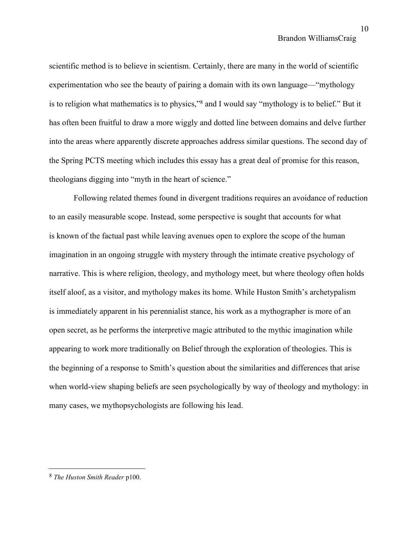scientific method is to believe in scientism. Certainly, there are many in the world of scientific experimentation who see the beauty of pairing a domain with its own language—"mythology is to religion what mathematics is to physics," <sup>8</sup> and I would say "mythology is to belief." But it has often been fruitful to draw a more wiggly and dotted line between domains and delve further into the areas where apparently discrete approaches address similar questions. The second day of the Spring PCTS meeting which includes this essay has a great deal of promise for this reason, theologians digging into "myth in the heart of science."

Following related themes found in divergent traditions requires an avoidance of reduction to an easily measurable scope. Instead, some perspective is sought that accounts for what is known of the factual past while leaving avenues open to explore the scope of the human imagination in an ongoing struggle with mystery through the intimate creative psychology of narrative. This is where religion, theology, and mythology meet, but where theology often holds itself aloof, as a visitor, and mythology makes its home. While Huston Smith's archetypalism is immediately apparent in his perennialist stance, his work as a mythographer is more of an open secret, as he performs the interpretive magic attributed to the mythic imagination while appearing to work more traditionally on Belief through the exploration of theologies. This is the beginning of a response to Smith's question about the similarities and differences that arise when world-view shaping beliefs are seen psychologically by way of theology and mythology: in many cases, we mythopsychologists are following his lead.

<sup>8</sup> *The Huston Smith Reader* p100.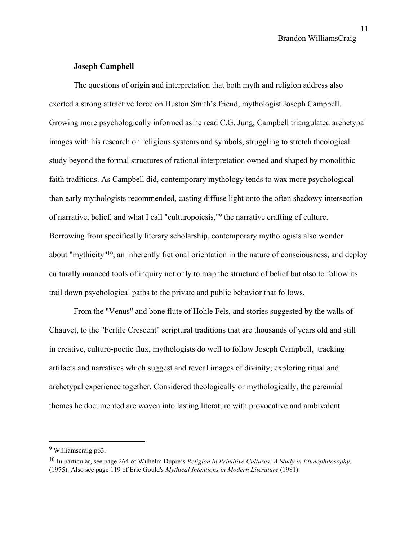# **Joseph Campbell**

The questions of origin and interpretation that both myth and religion address also exerted a strong attractive force on Huston Smith's friend, mythologist Joseph Campbell. Growing more psychologically informed as he read C.G. Jung, Campbell triangulated archetypal images with his research on religious systems and symbols, struggling to stretch theological study beyond the formal structures of rational interpretation owned and shaped by monolithic faith traditions. As Campbell did, contemporary mythology tends to wax more psychological than early mythologists recommended, casting diffuse light onto the often shadowy intersection of narrative, belief, and what I call "culturopoiesis," 9 the narrative crafting of culture. Borrowing from specifically literary scholarship, contemporary mythologists also wonder about "mythicity" 10 , an inherently fictional orientation in the nature of consciousness, and deploy culturally nuanced tools of inquiry not only to map the structure of belief but also to follow its trail down psychological paths to the private and public behavior that follows.

From the "Venus" and bone flute of Hohle Fels, and stories suggested by the walls of Chauvet, to the "Fertile Crescent" scriptural traditions that are thousands of years old and still in creative, culturo-poetic flux, mythologists do well to follow Joseph Campbell, tracking artifacts and narratives which suggest and reveal images of divinity; exploring ritual and archetypal experience together. Considered theologically or mythologically, the perennial themes he documented are woven into lasting literature with provocative and ambivalent

<sup>9</sup> Williamscraig p63.

<sup>10</sup> In particular, see page 264 of Wilhelm Dupré's *Religion in Primitive Cultures: A Study in Ethnophilosophy*. (1975). Also see page 119 of Eric Gould's *Mythical Intentions in Modern Literature* (1981).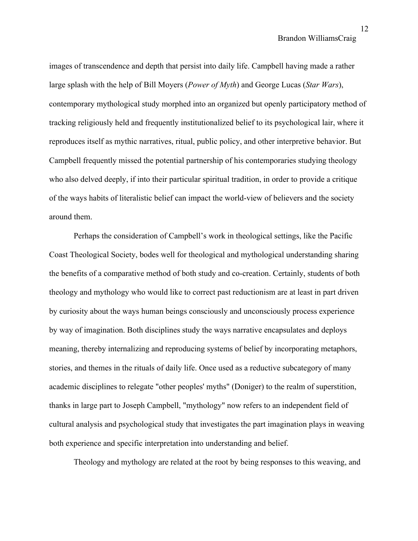12

images of transcendence and depth that persist into daily life. Campbell having made a rather large splash with the help of Bill Moyers (*Power of Myth*) and George Lucas (*Star Wars*), contemporary mythological study morphed into an organized but openly participatory method of tracking religiously held and frequently institutionalized belief to its psychological lair, where it reproduces itself as mythic narratives, ritual, public policy, and other interpretive behavior. But Campbell frequently missed the potential partnership of his contemporaries studying theology who also delved deeply, if into their particular spiritual tradition, in order to provide a critique of the ways habits of literalistic belief can impact the world-view of believers and the society around them.

Perhaps the consideration of Campbell's work in theological settings, like the Pacific Coast Theological Society, bodes well for theological and mythological understanding sharing the benefits of a comparative method of both study and co-creation. Certainly, students of both theology and mythology who would like to correct past reductionism are at least in part driven by curiosity about the ways human beings consciously and unconsciously process experience by way of imagination. Both disciplines study the ways narrative encapsulates and deploys meaning, thereby internalizing and reproducing systems of belief by incorporating metaphors, stories, and themes in the rituals of daily life. Once used as a reductive subcategory of many academic disciplines to relegate "other peoples' myths" (Doniger) to the realm of superstition, thanks in large part to Joseph Campbell, "mythology" now refers to an independent field of cultural analysis and psychological study that investigates the part imagination plays in weaving both experience and specific interpretation into understanding and belief.

Theology and mythology are related at the root by being responses to this weaving, and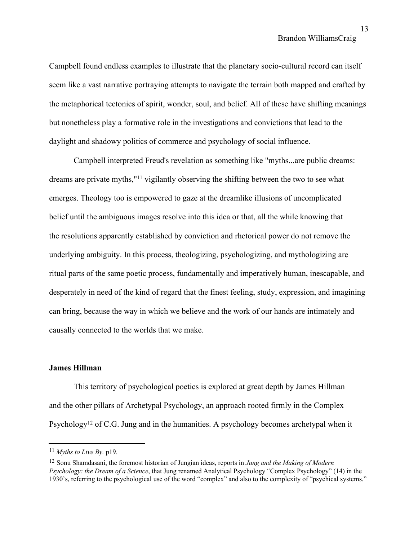Campbell found endless examples to illustrate that the planetary socio-cultural record can itself seem like a vast narrative portraying attempts to navigate the terrain both mapped and crafted by the metaphorical tectonics of spirit, wonder, soul, and belief. All of these have shifting meanings but nonetheless play a formative role in the investigations and convictions that lead to the daylight and shadowy politics of commerce and psychology of social influence.

Campbell interpreted Freud's revelation as something like "myths...are public dreams: dreams are private myths," <sup>11</sup> vigilantly observing the shifting between the two to see what emerges. Theology too is empowered to gaze at the dreamlike illusions of uncomplicated belief until the ambiguous images resolve into this idea or that, all the while knowing that the resolutions apparently established by conviction and rhetorical power do not remove the underlying ambiguity. In this process, theologizing, psychologizing, and mythologizing are ritual parts of the same poetic process, fundamentally and imperatively human, inescapable, and desperately in need of the kind of regard that the finest feeling, study, expression, and imagining can bring, because the way in which we believe and the work of our hands are intimately and causally connected to the worlds that we make.

#### **James Hillman**

This territory of psychological poetics is explored at great depth by James Hillman and the other pillars of Archetypal Psychology, an approach rooted firmly in the Complex Psychology<sup>12</sup> of C.G. Jung and in the humanities. A psychology becomes archetypal when it

 $11$  *Myths to Live By.* p19.

<sup>12</sup> Sonu Shamdasani, the foremost historian of Jungian ideas, reports in *Jung and the Making of Modern Psychology: the Dream of a Science*, that Jung renamed Analytical Psychology "Complex Psychology" (14) in the 1930's, referring to the psychological use of the word "complex" and also to the complexity of "psychical systems."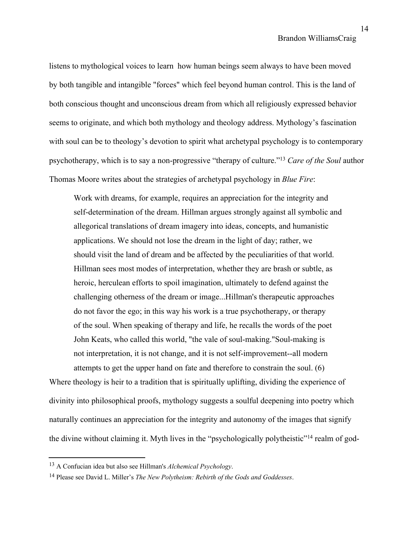listens to mythological voices to learn how human beings seem always to have been moved by both tangible and intangible "forces" which feel beyond human control. This is the land of both conscious thought and unconscious dream from which all religiously expressed behavior seems to originate, and which both mythology and theology address. Mythology's fascination with soul can be to theology's devotion to spirit what archetypal psychology is to contemporary psychotherapy, which is to say a non-progressive "therapy of culture." <sup>13</sup> *Care of the Soul* author Thomas Moore writes about the strategies of archetypal psychology in *Blue Fire*:

Work with dreams, for example, requires an appreciation for the integrity and self-determination of the dream. Hillman argues strongly against all symbolic and allegorical translations of dream imagery into ideas, concepts, and humanistic applications. We should not lose the dream in the light of day; rather, we should visit the land of dream and be affected by the peculiarities of that world. Hillman sees most modes of interpretation, whether they are brash or subtle, as heroic, herculean efforts to spoil imagination, ultimately to defend against the challenging otherness of the dream or image...Hillman's therapeutic approaches do not favor the ego; in this way his work is a true psychotherapy, or therapy of the soul. When speaking of therapy and life, he recalls the words of the poet John Keats, who called this world, "the vale of soul-making."Soul-making is not interpretation, it is not change, and it is not self-improvement--all modern attempts to get the upper hand on fate and therefore to constrain the soul. (6)

Where theology is heir to a tradition that is spiritually uplifting, dividing the experience of divinity into philosophical proofs, mythology suggests a soulful deepening into poetry which naturally continues an appreciation for the integrity and autonomy of the images that signify the divine without claiming it. Myth lives in the "psychologically polytheistic"<sup>14</sup> realm of god-

<sup>13</sup> A Confucian idea but also see Hillman's *Alchemical Psychology*.

<sup>14</sup> Please see David L. Miller's *The New Polytheism: Rebirth of the Gods and Goddesses*.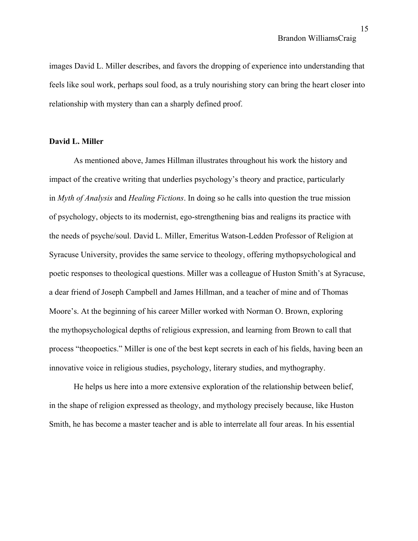images David L. Miller describes, and favors the dropping of experience into understanding that feels like soul work, perhaps soul food, as a truly nourishing story can bring the heart closer into relationship with mystery than can a sharply defined proof.

#### **David L. Miller**

As mentioned above, James Hillman illustrates throughout his work the history and impact of the creative writing that underlies psychology's theory and practice, particularly in *Myth of Analysis* and *Healing Fictions*. In doing so he calls into question the true mission of psychology, objects to its modernist, ego-strengthening bias and realigns its practice with the needs of psyche/soul. David L. Miller, Emeritus Watson-Ledden Professor of Religion at Syracuse University, provides the same service to theology, offering mythopsychological and poetic responses to theological questions. Miller was a colleague of Huston Smith's at Syracuse, a dear friend of Joseph Campbell and James Hillman, and a teacher of mine and of Thomas Moore's. At the beginning of his career Miller worked with Norman O. Brown, exploring the mythopsychological depths of religious expression, and learning from Brown to call that process "theopoetics." Miller is one of the best kept secrets in each of his fields, having been an innovative voice in religious studies, psychology, literary studies, and mythography.

He helps us here into a more extensive exploration of the relationship between belief, in the shape of religion expressed as theology, and mythology precisely because, like Huston Smith, he has become a master teacher and is able to interrelate all four areas. In his essential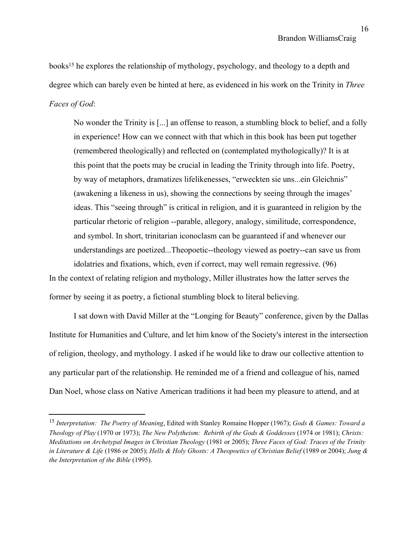books <sup>15</sup> he explores the relationship of mythology, psychology, and theology to a depth and degree which can barely even be hinted at here, as evidenced in his work on the Trinity in *Three Faces of God*:

No wonder the Trinity is [...] an offense to reason, a stumbling block to belief, and a folly in experience! How can we connect with that which in this book has been put together (remembered theologically) and reflected on (contemplated mythologically)? It is at this point that the poets may be crucial in leading the Trinity through into life. Poetry, by way of metaphors, dramatizes lifelikenesses, "erweckten sie uns...ein Gleichnis" (awakening a likeness in us), showing the connections by seeing through the images' ideas. This "seeing through" is critical in religion, and it is guaranteed in religion by the particular rhetoric of religion --parable, allegory, analogy, similitude, correspondence, and symbol. In short, trinitarian iconoclasm can be guaranteed if and whenever our understandings are poetized...Theopoetic--theology viewed as poetry--can save us from idolatries and fixations, which, even if correct, may well remain regressive. (96) In the context of relating religion and mythology, Miller illustrates how the latter serves the

former by seeing it as poetry, a fictional stumbling block to literal believing.

I sat down with David Miller at the "Longing for Beauty" conference, given by the Dallas Institute for Humanities and Culture, and let him know of the Society's interest in the intersection of religion, theology, and mythology. I asked if he would like to draw our collective attention to any particular part of the relationship. He reminded me of a friend and colleague of his, named Dan Noel, whose class on Native American traditions it had been my pleasure to attend, and at

<sup>15</sup> *Interpretation: The Poetry of Meaning*, Edited with Stanley Romaine Hopper (1967); *Gods & Games: Toward a Theology of Play* (1970 or 1973); *The New Polytheism: Rebirth of the Gods & Goddesses* (1974 or 1981); *Christs: Meditations on Archetypal Images in Christian Theology* (1981 or 2005); *Three Faces of God: Traces of the Trinity in Literature & Life* (1986 or 2005); *Hells & Holy Ghosts: A Theopoetics of Christian Belief* (1989 or 2004); *Jung & the Interpretation of the Bible* (1995).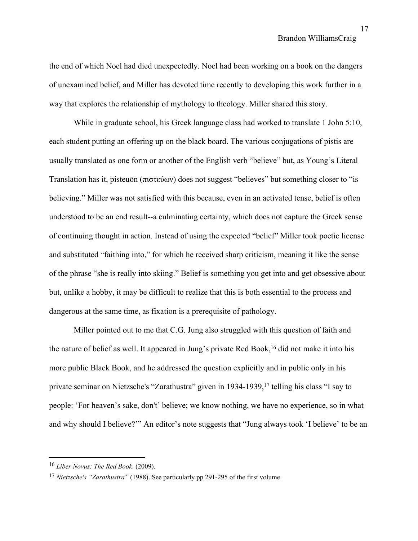the end of which Noel had died unexpectedly. Noel had been working on a book on the dangers of unexamined belief, and Miller has devoted time recently to developing this work further in a way that explores the relationship of mythology to theology. Miller shared this story.

While in graduate school, his Greek language class had worked to translate 1 John 5:10, each student putting an offering up on the black board. The various conjugations of pistis are usually translated as one form or another of the English verb "believe" but, as Young's Literal Translation has it, pisteuōn (πιστεύων) does not suggest "believes" but something closer to "is believing." Miller was not satisfied with this because, even in an activated tense, belief is often understood to be an end result--a culminating certainty, which does not capture the Greek sense of continuing thought in action. Instead of using the expected "belief" Miller took poetic license and substituted "faithing into," for which he received sharp criticism, meaning it like the sense of the phrase "she is really into skiing." Belief is something you get into and get obsessive about but, unlike a hobby, it may be difficult to realize that this is both essential to the process and dangerous at the same time, as fixation is a prerequisite of pathology.

Miller pointed out to me that C.G. Jung also struggled with this question of faith and the nature of belief as well. It appeared in Jung's private Red Book, <sup>16</sup> did not make it into his more public Black Book, and he addressed the question explicitly and in public only in his private seminar on Nietzsche's "Zarathustra" given in 1934-1939, 17 telling his class "I say to people: 'For heaven's sake, don't' believe; we know nothing, we have no experience, so in what and why should I believe?'" An editor's note suggests that "Jung always took 'I believe' to be an

<sup>16</sup> *Liber Novus: The Red Book*. (2009).

<sup>17</sup> *Nietzsche's "Zarathustra"* (1988). See particularly pp 291-295 of the first volume.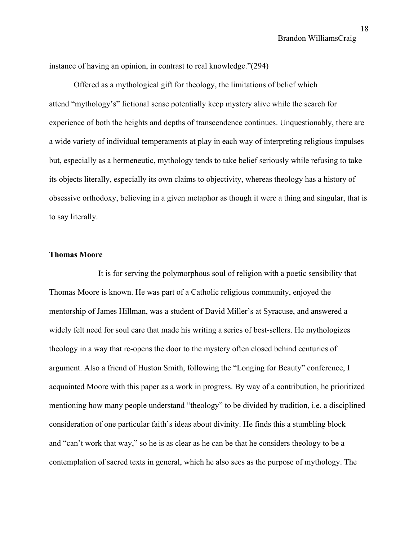instance of having an opinion, in contrast to real knowledge."(294)

Offered as a mythological gift for theology, the limitations of belief which attend "mythology's" fictional sense potentially keep mystery alive while the search for experience of both the heights and depths of transcendence continues. Unquestionably, there are a wide variety of individual temperaments at play in each way of interpreting religious impulses but, especially as a hermeneutic, mythology tends to take belief seriously while refusing to take its objects literally, especially its own claims to objectivity, whereas theology has a history of obsessive orthodoxy, believing in a given metaphor as though it were a thing and singular, that is to say literally.

## **Thomas Moore**

It is for serving the polymorphous soul of religion with a poetic sensibility that Thomas Moore is known. He was part of a Catholic religious community, enjoyed the mentorship of James Hillman, was a student of David Miller's at Syracuse, and answered a widely felt need for soul care that made his writing a series of best-sellers. He mythologizes theology in a way that re-opens the door to the mystery often closed behind centuries of argument. Also a friend of Huston Smith, following the "Longing for Beauty" conference, I acquainted Moore with this paper as a work in progress. By way of a contribution, he prioritized mentioning how many people understand "theology" to be divided by tradition, i.e. a disciplined consideration of one particular faith's ideas about divinity. He finds this a stumbling block and "can't work that way," so he is as clear as he can be that he considers theology to be a contemplation of sacred texts in general, which he also sees as the purpose of mythology. The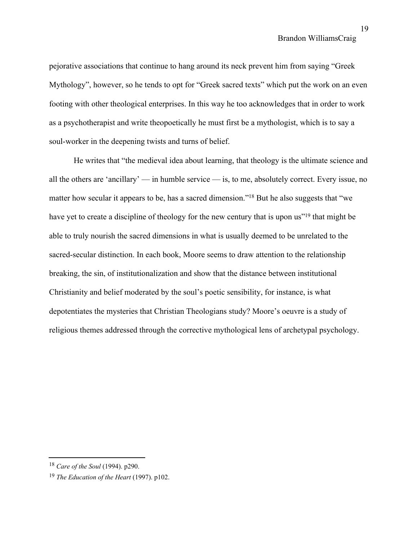pejorative associations that continue to hang around its neck prevent him from saying "Greek Mythology", however, so he tends to opt for "Greek sacred texts" which put the work on an even footing with other theological enterprises. In this way he too acknowledges that in order to work as a psychotherapist and write theopoetically he must first be a mythologist, which is to say a soul-worker in the deepening twists and turns of belief.

He writes that "the medieval idea about learning, that theology is the ultimate science and all the others are 'ancillary' — in humble service — is, to me, absolutely correct. Every issue, no matter how secular it appears to be, has a sacred dimension."<sup>18</sup> But he also suggests that "we have yet to create a discipline of theology for the new century that is upon us"<sup>19</sup> that might be able to truly nourish the sacred dimensions in what is usually deemed to be unrelated to the sacred-secular distinction. In each book, Moore seems to draw attention to the relationship breaking, the sin, of institutionalization and show that the distance between institutional Christianity and belief moderated by the soul's poetic sensibility, for instance, is what depotentiates the mysteries that Christian Theologians study? Moore's oeuvre is a study of religious themes addressed through the corrective mythological lens of archetypal psychology.

<sup>18</sup> *Care of the Soul* (1994). p290.

<sup>19</sup> *The Education of the Heart* (1997). p102.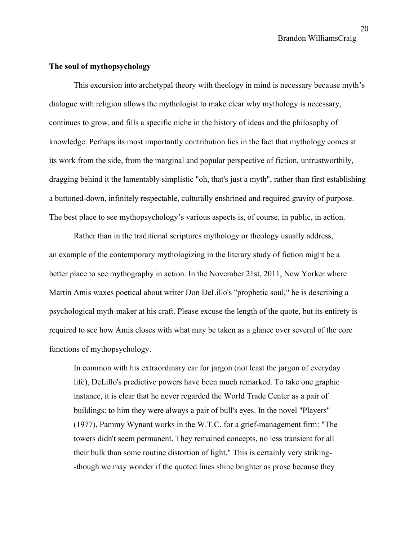## **The soul of mythopsychology**

This excursion into archetypal theory with theology in mind is necessary because myth's dialogue with religion allows the mythologist to make clear why mythology is necessary, continues to grow, and fills a specific niche in the history of ideas and the philosophy of knowledge. Perhaps its most importantly contribution lies in the fact that mythology comes at its work from the side, from the marginal and popular perspective of fiction, untrustworthily, dragging behind it the lamentably simplistic "oh, that's just a myth", rather than first establishing a buttoned-down, infinitely respectable, culturally enshrined and required gravity of purpose. The best place to see mythopsychology's various aspects is, of course, in public, in action.

Rather than in the traditional scriptures mythology or theology usually address, an example of the contemporary mythologizing in the literary study of fiction might be a better place to see mythography in action. In the November 21st, 2011, New Yorker where Martin Amis waxes poetical about writer Don DeLillo's "prophetic soul," he is describing a psychological myth-maker at his craft. Please excuse the length of the quote, but its entirety is required to see how Amis closes with what may be taken as a glance over several of the core functions of mythopsychology.

In common with his extraordinary ear for jargon (not least the jargon of everyday life), DeLillo's predictive powers have been much remarked. To take one graphic instance, it is clear that he never regarded the World Trade Center as a pair of buildings: to him they were always a pair of bull's eyes. In the novel "Players" (1977), Pammy Wynant works in the W.T.C. for a grief-management firm: "The towers didn't seem permanent. They remained concepts, no less transient for all their bulk than some routine distortion of light." This is certainly very striking- -though we may wonder if the quoted lines shine brighter as prose because they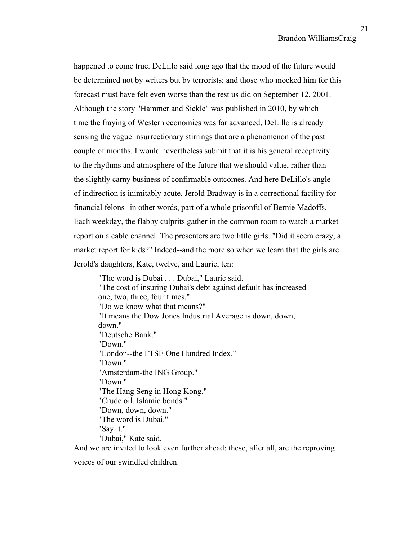happened to come true. DeLillo said long ago that the mood of the future would be determined not by writers but by terrorists; and those who mocked him for this forecast must have felt even worse than the rest us did on September 12, 2001. Although the story "Hammer and Sickle" was published in 2010, by which time the fraying of Western economies was far advanced, DeLillo is already sensing the vague insurrectionary stirrings that are a phenomenon of the past couple of months. I would nevertheless submit that it is his general receptivity to the rhythms and atmosphere of the future that we should value, rather than the slightly carny business of confirmable outcomes. And here DeLillo's angle of indirection is inimitably acute. Jerold Bradway is in a correctional facility for financial felons--in other words, part of a whole prisonful of Bernie Madoffs. Each weekday, the flabby culprits gather in the common room to watch a market report on a cable channel. The presenters are two little girls. "Did it seem crazy, a market report for kids?" Indeed--and the more so when we learn that the girls are Jerold's daughters, Kate, twelve, and Laurie, ten:

"The word is Dubai . . . Dubai," Laurie said. "The cost of insuring Dubai's debt against default has increased one, two, three, four times." "Do we know what that means?" "It means the Dow Jones Industrial Average is down, down, down." "Deutsche Bank." "Down." "London--the FTSE One Hundred Index." "Down." "Amsterdam-the ING Group." "Down." "The Hang Seng in Hong Kong." "Crude oil. Islamic bonds." "Down, down, down." "The word is Dubai." "Say it." "Dubai," Kate said.

And we are invited to look even further ahead: these, after all, are the reproving

voices of our swindled children.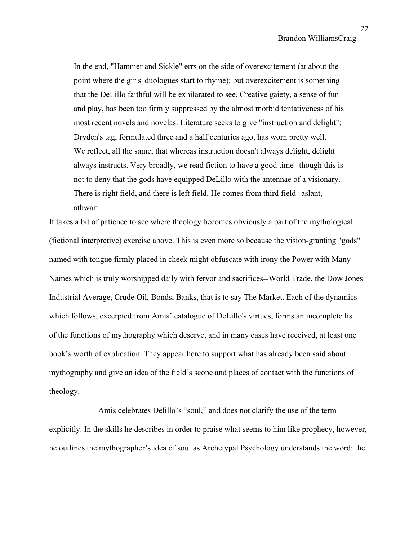In the end, "Hammer and Sickle" errs on the side of overexcitement (at about the point where the girls' duologues start to rhyme); but overexcitement is something that the DeLillo faithful will be exhilarated to see. Creative gaiety, a sense of fun and play, has been too firmly suppressed by the almost morbid tentativeness of his most recent novels and novelas. Literature seeks to give "instruction and delight": Dryden's tag, formulated three and a half centuries ago, has worn pretty well. We reflect, all the same, that whereas instruction doesn't always delight, delight always instructs. Very broadly, we read fiction to have a good time--though this is not to deny that the gods have equipped DeLillo with the antennae of a visionary. There is right field, and there is left field. He comes from third field--aslant, athwart.

It takes a bit of patience to see where theology becomes obviously a part of the mythological (fictional interpretive) exercise above. This is even more so because the vision-granting "gods" named with tongue firmly placed in cheek might obfuscate with irony the Power with Many Names which is truly worshipped daily with fervor and sacrifices--World Trade, the Dow Jones Industrial Average, Crude Oil, Bonds, Banks, that is to say The Market. Each of the dynamics which follows, excerpted from Amis' catalogue of DeLillo's virtues, forms an incomplete list of the functions of mythography which deserve, and in many cases have received, at least one book's worth of explication. They appear here to support what has already been said about mythography and give an idea of the field's scope and places of contact with the functions of theology.

Amis celebrates Delillo's "soul," and does not clarify the use of the term explicitly. In the skills he describes in order to praise what seems to him like prophecy, however, he outlines the mythographer's idea of soul as Archetypal Psychology understands the word: the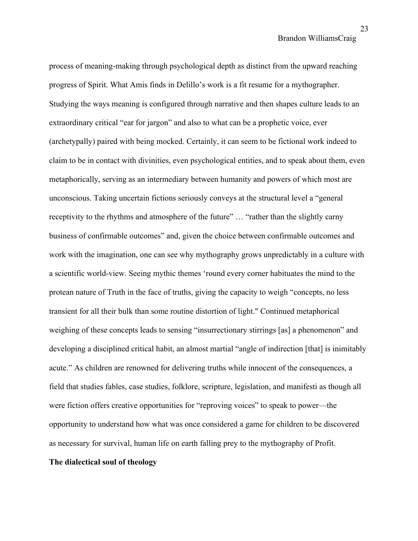process of meaning-making through psychological depth as distinct from the upward reaching progress of Spirit. What Amis finds in Delillo's work is a fit resume for a mythographer. Studying the ways meaning is configured through narrative and then shapes culture leads to an extraordinary critical "ear for jargon" and also to what can be a prophetic voice, ever (archetypally) paired with being mocked. Certainly, it can seem to be fictional work indeed to claim to be in contact with divinities, even psychological entities, and to speak about them, even metaphorically, serving as an intermediary between humanity and powers of which most are unconscious. Taking uncertain fictions seriously conveys at the structural level a "general receptivity to the rhythms and atmosphere of the future" … "rather than the slightly carny business of confirmable outcomes" and, given the choice between confirmable outcomes and work with the imagination, one can see why mythography grows unpredictably in a culture with a scientific world-view. Seeing mythic themes 'round every corner habituates the mind to the protean nature of Truth in the face of truths, giving the capacity to weigh "concepts, no less transient for all their bulk than some routine distortion of light." Continued metaphorical weighing of these concepts leads to sensing "insurrectionary stirrings [as] a phenomenon" and developing a disciplined critical habit, an almost martial "angle of indirection [that] is inimitably acute." As children are renowned for delivering truths while innocent of the consequences, a field that studies fables, case studies, folklore, scripture, legislation, and manifesti as though all were fiction offers creative opportunities for "reproving voices" to speak to power—the opportunity to understand how what was once considered a game for children to be discovered as necessary for survival, human life on earth falling prey to the mythography of Profit. **The dialectical soul of theology**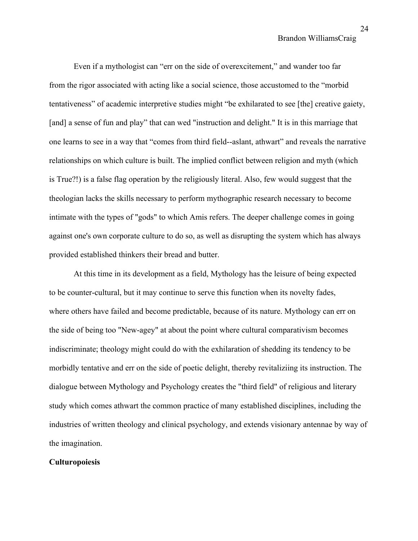Even if a mythologist can "err on the side of overexcitement," and wander too far from the rigor associated with acting like a social science, those accustomed to the "morbid tentativeness" of academic interpretive studies might "be exhilarated to see [the] creative gaiety, [and] a sense of fun and play" that can wed "instruction and delight." It is in this marriage that one learns to see in a way that "comes from third field--aslant, athwart" and reveals the narrative relationships on which culture is built. The implied conflict between religion and myth (which is True?!) is a false flag operation by the religiously literal. Also, few would suggest that the theologian lacks the skills necessary to perform mythographic research necessary to become intimate with the types of "gods" to which Amis refers. The deeper challenge comes in going against one's own corporate culture to do so, as well as disrupting the system which has always provided established thinkers their bread and butter.

At this time in its development as a field, Mythology has the leisure of being expected to be counter-cultural, but it may continue to serve this function when its novelty fades, where others have failed and become predictable, because of its nature. Mythology can err on the side of being too "New-agey" at about the point where cultural comparativism becomes indiscriminate; theology might could do with the exhilaration of shedding its tendency to be morbidly tentative and err on the side of poetic delight, thereby revitaliziing its instruction. The dialogue between Mythology and Psychology creates the "third field" of religious and literary study which comes athwart the common practice of many established disciplines, including the industries of written theology and clinical psychology, and extends visionary antennae by way of the imagination.

# **Culturopoiesis**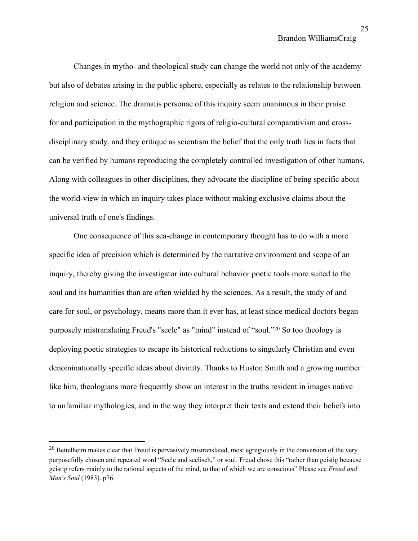Changes in mytho- and theological study can change the world not only of the academy but also of debates arising in the public sphere, especially as relates to the relationship between religion and science. The dramatis personae of this inquiry seem unanimous in their praise for and participation in the mythographic rigors of religio-cultural comparativism and crossdisciplinary study, and they critique as scientism the belief that the only truth lies in facts that can be verified by humans reproducing the completely controlled investigation of other humans. Along with colleagues in other disciplines, they advocate the discipline of being specific about the world-view in which an inquiry takes place without making exclusive claims about the universal truth of one's findings.

One consequence of this sea-change in contemporary thought has to do with a more specific idea of precision which is determined by the narrative environment and scope of an inquiry, thereby giving the investigator into cultural behavior poetic tools more suited to the soul and its humanities than are often wielded by the sciences. As a result, the study of and care for soul, or psychology, means more than it ever has, at least since medical doctors began purposely mistranslating Freud's "seele" as "mind" instead of "soul." <sup>20</sup> So too theology is deploying poetic strategies to escape its historical reductions to singularly Christian and even denominationally specific ideas about divinity. Thanks to Huston Smith and a growing number like him, theologians more frequently show an interest in the truths resident in images native to unfamiliar mythologies, and in the way they interpret their texts and extend their beliefs into

<sup>&</sup>lt;sup>20</sup> Bettelheim makes clear that Freud is pervasively mistranslated, most egregiously in the conversion of the very purposefully chosen and repeated word "Seele and seelisch," or soul. Freud chose this "rather than geistig because geistig refers mainly to the rational aspects of the mind, to that of which we are conscious" Please see *Freud and Man's Soul* (1983). p76.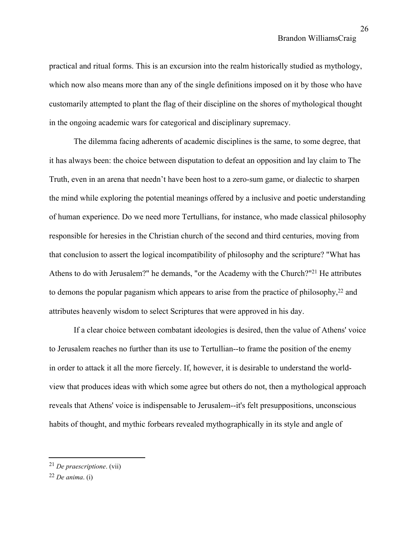practical and ritual forms. This is an excursion into the realm historically studied as mythology, which now also means more than any of the single definitions imposed on it by those who have customarily attempted to plant the flag of their discipline on the shores of mythological thought in the ongoing academic wars for categorical and disciplinary supremacy.

The dilemma facing adherents of academic disciplines is the same, to some degree, that it has always been: the choice between disputation to defeat an opposition and lay claim to The Truth, even in an arena that needn't have been host to a zero-sum game, or dialectic to sharpen the mind while exploring the potential meanings offered by a inclusive and poetic understanding of human experience. Do we need more Tertullians, for instance, who made classical philosophy responsible for heresies in the Christian church of the second and third centuries, moving from that conclusion to assert the logical incompatibility of philosophy and the scripture? "What has Athens to do with Jerusalem?" he demands, "or the Academy with the Church?"<sup>21</sup> He attributes to demons the popular paganism which appears to arise from the practice of philosophy,<sup>22</sup> and attributes heavenly wisdom to select Scriptures that were approved in his day.

If a clear choice between combatant ideologies is desired, then the value of Athens' voice to Jerusalem reaches no further than its use to Tertullian--to frame the position of the enemy in order to attack it all the more fiercely. If, however, it is desirable to understand the worldview that produces ideas with which some agree but others do not, then a mythological approach reveals that Athens' voice is indispensable to Jerusalem--it's felt presuppositions, unconscious habits of thought, and mythic forbears revealed mythographically in its style and angle of

<sup>21</sup> *De praescriptione*. (vii)

<sup>22</sup> *De anima*. (i)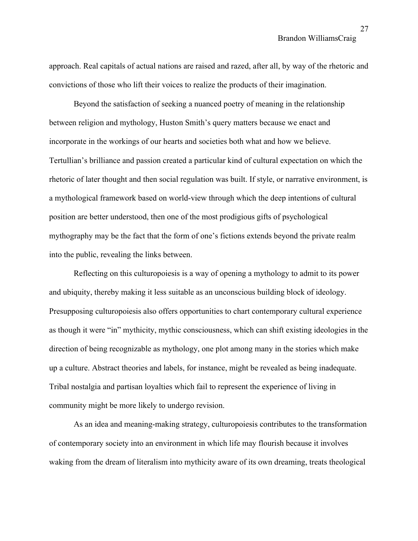approach. Real capitals of actual nations are raised and razed, after all, by way of the rhetoric and convictions of those who lift their voices to realize the products of their imagination.

Beyond the satisfaction of seeking a nuanced poetry of meaning in the relationship between religion and mythology, Huston Smith's query matters because we enact and incorporate in the workings of our hearts and societies both what and how we believe. Tertullian's brilliance and passion created a particular kind of cultural expectation on which the rhetoric of later thought and then social regulation was built. If style, or narrative environment, is a mythological framework based on world-view through which the deep intentions of cultural position are better understood, then one of the most prodigious gifts of psychological mythography may be the fact that the form of one's fictions extends beyond the private realm into the public, revealing the links between.

Reflecting on this culturopoiesis is a way of opening a mythology to admit to its power and ubiquity, thereby making it less suitable as an unconscious building block of ideology. Presupposing culturopoiesis also offers opportunities to chart contemporary cultural experience as though it were "in" mythicity, mythic consciousness, which can shift existing ideologies in the direction of being recognizable as mythology, one plot among many in the stories which make up a culture. Abstract theories and labels, for instance, might be revealed as being inadequate. Tribal nostalgia and partisan loyalties which fail to represent the experience of living in community might be more likely to undergo revision.

As an idea and meaning-making strategy, culturopoiesis contributes to the transformation of contemporary society into an environment in which life may flourish because it involves waking from the dream of literalism into mythicity aware of its own dreaming, treats theological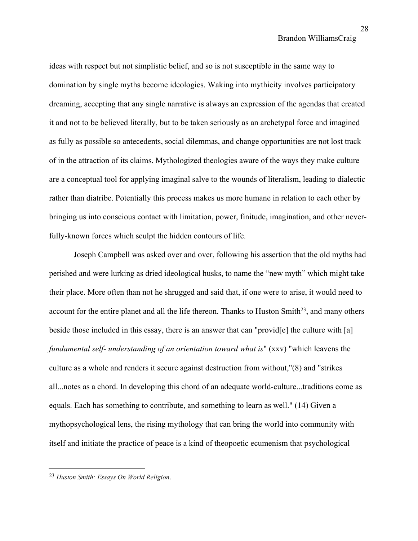ideas with respect but not simplistic belief, and so is not susceptible in the same way to domination by single myths become ideologies. Waking into mythicity involves participatory dreaming, accepting that any single narrative is always an expression of the agendas that created it and not to be believed literally, but to be taken seriously as an archetypal force and imagined as fully as possible so antecedents, social dilemmas, and change opportunities are not lost track of in the attraction of its claims. Mythologized theologies aware of the ways they make culture are a conceptual tool for applying imaginal salve to the wounds of literalism, leading to dialectic rather than diatribe. Potentially this process makes us more humane in relation to each other by bringing us into conscious contact with limitation, power, finitude, imagination, and other neverfully-known forces which sculpt the hidden contours of life.

Joseph Campbell was asked over and over, following his assertion that the old myths had perished and were lurking as dried ideological husks, to name the "new myth" which might take their place. More often than not he shrugged and said that, if one were to arise, it would need to account for the entire planet and all the life thereon. Thanks to Huston Smith<sup>23</sup>, and many others beside those included in this essay, there is an answer that can "provid[e] the culture with [a] *fundamental self- understanding of an orientation toward what is*" (xxv) "which leavens the culture as a whole and renders it secure against destruction from without,"(8) and "strikes all...notes as a chord. In developing this chord of an adequate world-culture...traditions come as equals. Each has something to contribute, and something to learn as well." (14) Given a mythopsychological lens, the rising mythology that can bring the world into community with itself and initiate the practice of peace is a kind of theopoetic ecumenism that psychological

<sup>23</sup> *Huston Smith: Essays On World Religion*.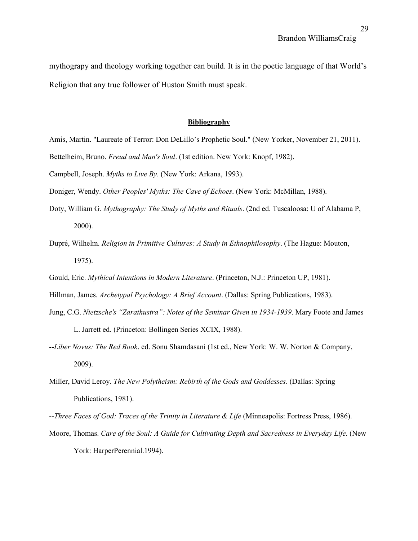mythograpy and theology working together can build. It is in the poetic language of that World's Religion that any true follower of Huston Smith must speak.

#### **Bibliography**

- Amis, Martin. "Laureate of Terror: Don DeLillo's Prophetic Soul." (New Yorker, November 21, 2011).
- Bettelheim, Bruno. *Freud and Man's Soul*. (1st edition. New York: Knopf, 1982).
- Campbell, Joseph. *Myths to Live By*. (New York: Arkana, 1993).
- Doniger, Wendy. *Other Peoples' Myths: The Cave of Echoes*. (New York: McMillan, 1988).
- Doty, William G. *Mythography: The Study of Myths and Rituals*. (2nd ed. Tuscaloosa: U of Alabama P, 2000).
- Dupré, Wilhelm. *Religion in Primitive Cultures: A Study in Ethnophilosophy*. (The Hague: Mouton, 1975).
- Gould, Eric. *Mythical Intentions in Modern Literature*. (Princeton, N.J.: Princeton UP, 1981).
- Hillman, James. *Archetypal Psychology: A Brief Account*. (Dallas: Spring Publications, 1983).
- Jung, C.G. *Nietzsche's "Zarathustra": Notes of the Seminar Given in 1934-1939*. Mary Foote and James L. Jarrett ed. (Princeton: Bollingen Series XCIX, 1988).
- --*Liber Novus: The Red Book*. ed. Sonu Shamdasani (1st ed., New York: W. W. Norton & Company, 2009).
- Miller, David Leroy. *The New Polytheism: Rebirth of the Gods and Goddesses*. (Dallas: Spring Publications, 1981).
- --*Three Faces of God: Traces of the Trinity in Literature & Life* (Minneapolis: Fortress Press, 1986).
- Moore, Thomas. *Care of the Soul: A Guide for Cultivating Depth and Sacredness in Everyday Life*. (New York: HarperPerennial.1994).